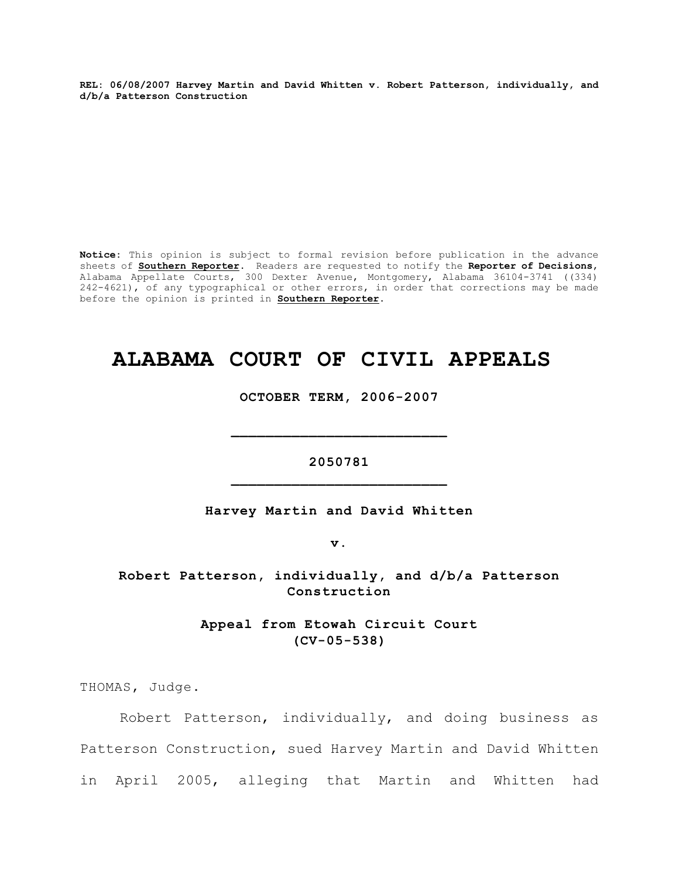**REL: 06/08/2007 Harvey Martin and David Whitten v. Robert Patterson, individually, and d/b/a Patterson Construction**

**Notice:** This opinion is subject to formal revision before publication in the advance sheets of **Southern Reporter**. Readers are requested to notify the **Reporter of Decisions**, Alabama Appellate Courts, 300 Dexter Avenue, Montgomery, Alabama 36104-3741 ((334) 242-4621), of any typographical or other errors, in order that corrections may be made before the opinion is printed in **Southern Reporter**.

# **ALABAMA COURT OF CIVIL APPEALS**

**OCTOBER TERM, 2006-2007**

**2050781 \_\_\_\_\_\_\_\_\_\_\_\_\_\_\_\_\_\_\_\_\_\_\_\_\_**

**\_\_\_\_\_\_\_\_\_\_\_\_\_\_\_\_\_\_\_\_\_\_\_\_\_**

**Harvey Martin and David Whitten**

**v.**

**Robert Patterson, individually, and d/b/a Patterson Construction**

> **Appeal from Etowah Circuit Court (CV-05-538)**

THOMAS, Judge.

Robert Patterson, individually, and doing business as Patterson Construction, sued Harvey Martin and David Whitten in April 2005, alleging that Martin and Whitten had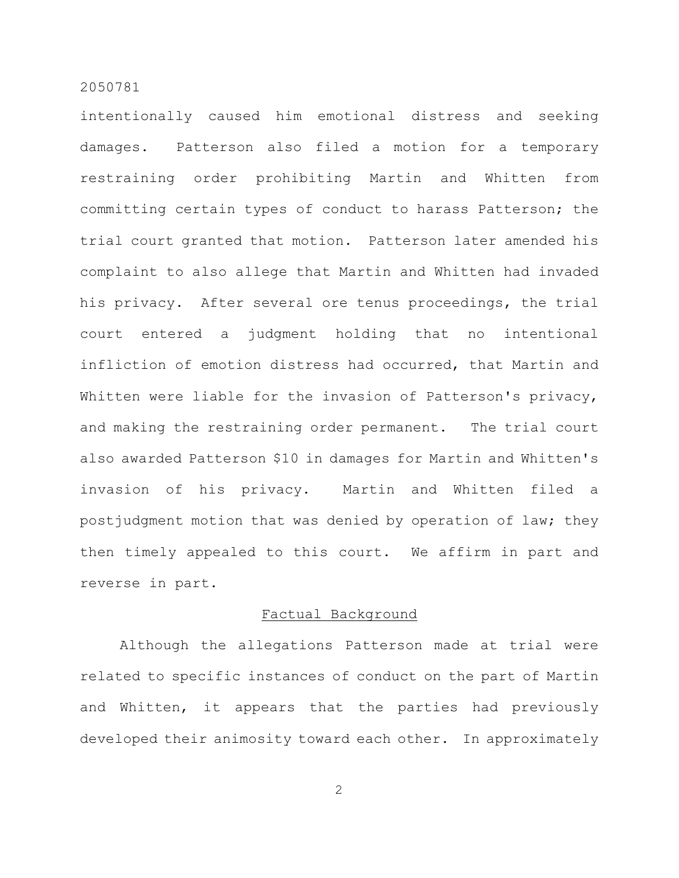intentionally caused him emotional distress and seeking damages. Patterson also filed a motion for a temporary restraining order prohibiting Martin and Whitten from committing certain types of conduct to harass Patterson; the trial court granted that motion. Patterson later amended his complaint to also allege that Martin and Whitten had invaded his privacy. After several ore tenus proceedings, the trial court entered a judgment holding that no intentional infliction of emotion distress had occurred, that Martin and Whitten were liable for the invasion of Patterson's privacy, and making the restraining order permanent. The trial court also awarded Patterson \$10 in damages for Martin and Whitten's invasion of his privacy. Martin and Whitten filed a postjudgment motion that was denied by operation of law; they then timely appealed to this court. We affirm in part and reverse in part.

#### Factual Background

Although the allegations Patterson made at trial were related to specific instances of conduct on the part of Martin and Whitten, it appears that the parties had previously developed their animosity toward each other. In approximately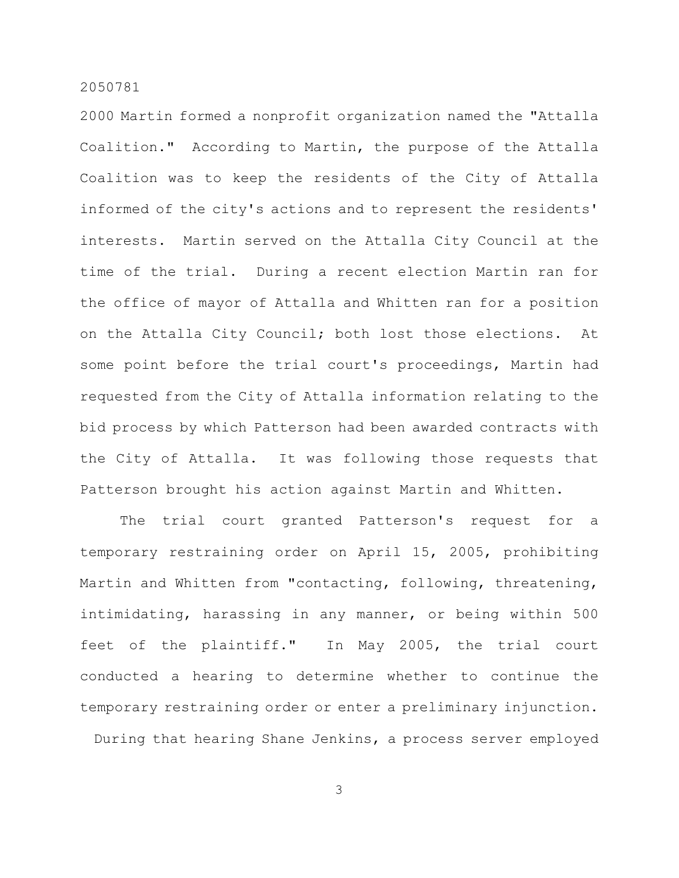2000 Martin formed a nonprofit organization named the "Attalla Coalition." According to Martin, the purpose of the Attalla Coalition was to keep the residents of the City of Attalla informed of the city's actions and to represent the residents' interests. Martin served on the Attalla City Council at the time of the trial. During a recent election Martin ran for the office of mayor of Attalla and Whitten ran for a position on the Attalla City Council; both lost those elections. At some point before the trial court's proceedings, Martin had requested from the City of Attalla information relating to the bid process by which Patterson had been awarded contracts with the City of Attalla. It was following those requests that Patterson brought his action against Martin and Whitten.

The trial court granted Patterson's request for a temporary restraining order on April 15, 2005, prohibiting Martin and Whitten from "contacting, following, threatening, intimidating, harassing in any manner, or being within 500 feet of the plaintiff." In May 2005, the trial court conducted a hearing to determine whether to continue the temporary restraining order or enter a preliminary injunction. During that hearing Shane Jenkins, a process server employed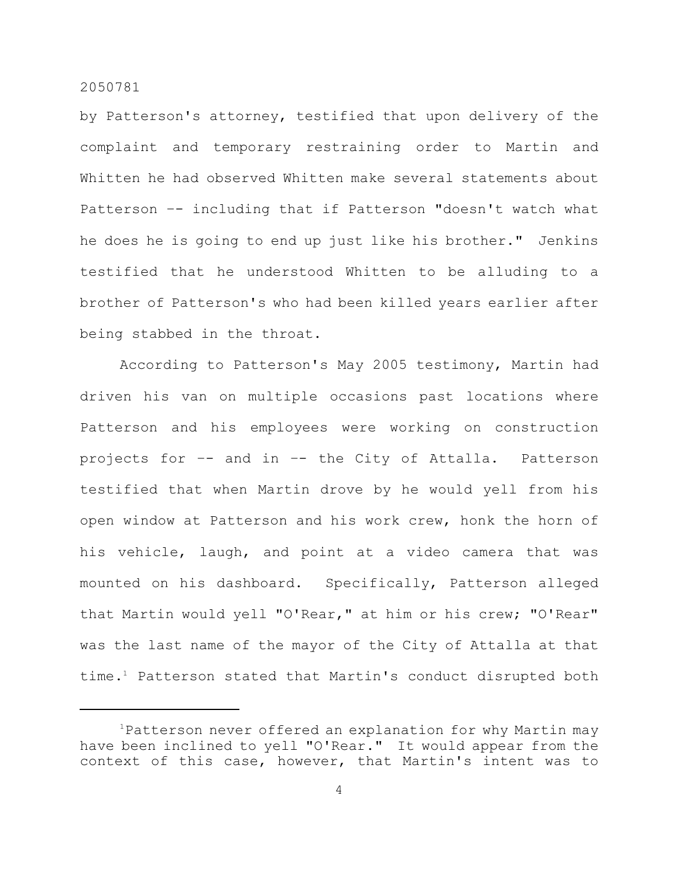by Patterson's attorney, testified that upon delivery of the complaint and temporary restraining order to Martin and Whitten he had observed Whitten make several statements about Patterson –- including that if Patterson "doesn't watch what he does he is going to end up just like his brother." Jenkins testified that he understood Whitten to be alluding to a brother of Patterson's who had been killed years earlier after being stabbed in the throat.

According to Patterson's May 2005 testimony, Martin had driven his van on multiple occasions past locations where Patterson and his employees were working on construction projects for –- and in –- the City of Attalla. Patterson testified that when Martin drove by he would yell from his open window at Patterson and his work crew, honk the horn of his vehicle, laugh, and point at a video camera that was mounted on his dashboard. Specifically, Patterson alleged that Martin would yell "O'Rear," at him or his crew; "O'Rear" was the last name of the mayor of the City of Attalla at that time.<sup>1</sup> Patterson stated that Martin's conduct disrupted both

 $1$ Patterson never offered an explanation for why Martin may have been inclined to yell "O'Rear." It would appear from the context of this case, however, that Martin's intent was to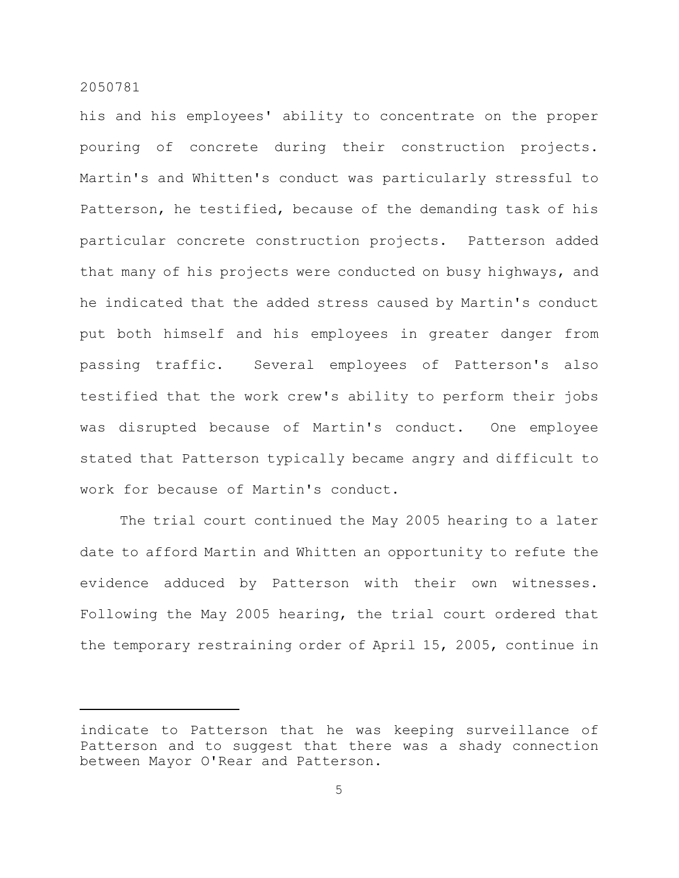his and his employees' ability to concentrate on the proper pouring of concrete during their construction projects. Martin's and Whitten's conduct was particularly stressful to Patterson, he testified, because of the demanding task of his particular concrete construction projects. Patterson added that many of his projects were conducted on busy highways, and he indicated that the added stress caused by Martin's conduct put both himself and his employees in greater danger from passing traffic. Several employees of Patterson's also testified that the work crew's ability to perform their jobs was disrupted because of Martin's conduct. One employee stated that Patterson typically became angry and difficult to work for because of Martin's conduct.

The trial court continued the May 2005 hearing to a later date to afford Martin and Whitten an opportunity to refute the evidence adduced by Patterson with their own witnesses. Following the May 2005 hearing, the trial court ordered that the temporary restraining order of April 15, 2005, continue in

indicate to Patterson that he was keeping surveillance of Patterson and to suggest that there was a shady connection between Mayor O'Rear and Patterson.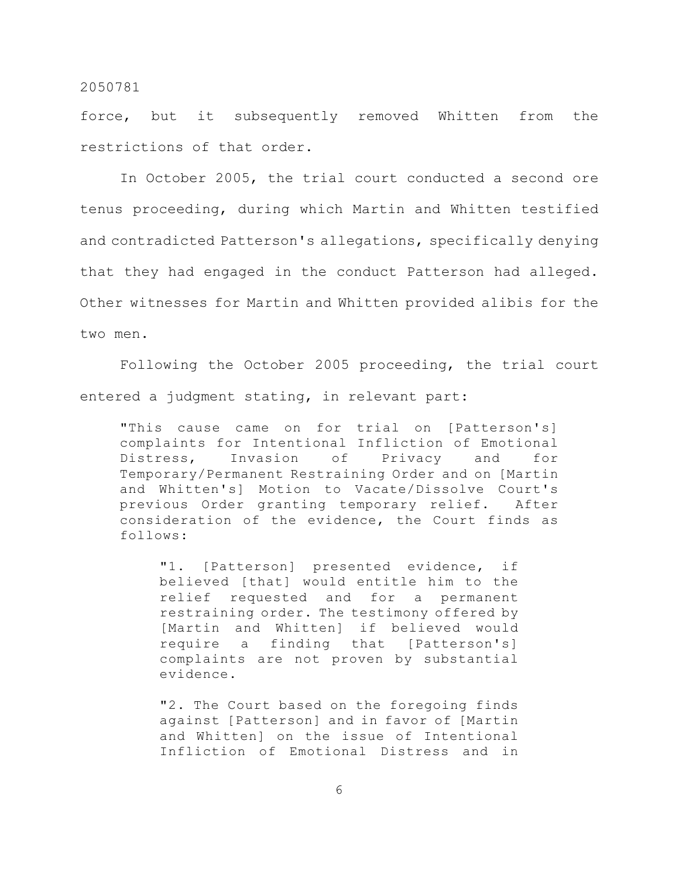force, but it subsequently removed Whitten from the restrictions of that order.

In October 2005, the trial court conducted a second ore tenus proceeding, during which Martin and Whitten testified and contradicted Patterson's allegations, specifically denying that they had engaged in the conduct Patterson had alleged. Other witnesses for Martin and Whitten provided alibis for the two men.

Following the October 2005 proceeding, the trial court entered a judgment stating, in relevant part:

"This cause came on for trial on [Patterson's] complaints for Intentional Infliction of Emotional Distress, Invasion of Privacy and for Temporary/Permanent Restraining Order and on [Martin and Whitten's] Motion to Vacate/Dissolve Court's previous Order granting temporary relief. After consideration of the evidence, the Court finds as follows:

"1. [Patterson] presented evidence, if believed [that] would entitle him to the relief requested and for a permanent restraining order. The testimony offered by [Martin and Whitten] if believed would require a finding that [Patterson's] complaints are not proven by substantial evidence.

"2. The Court based on the foregoing finds against [Patterson] and in favor of [Martin and Whitten] on the issue of Intentional Infliction of Emotional Distress and in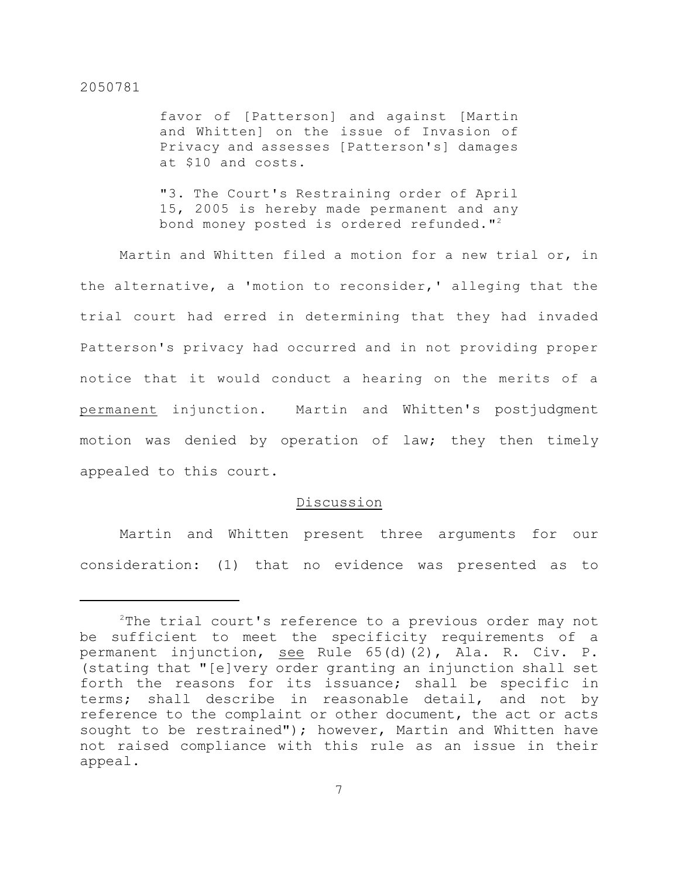favor of [Patterson] and against [Martin and Whitten] on the issue of Invasion of Privacy and assesses [Patterson's] damages at \$10 and costs.

"3. The Court's Restraining order of April 15, 2005 is hereby made permanent and any bond money posted is ordered refunded. $"$ 

Martin and Whitten filed a motion for a new trial or, in the alternative, a 'motion to reconsider,' alleging that the trial court had erred in determining that they had invaded Patterson's privacy had occurred and in not providing proper notice that it would conduct a hearing on the merits of a permanent injunction. Martin and Whitten's postjudgment motion was denied by operation of law; they then timely appealed to this court.

#### Discussion

Martin and Whitten present three arguments for our consideration: (1) that no evidence was presented as to

 $2$ The trial court's reference to a previous order may not be sufficient to meet the specificity requirements of a permanent injunction, see Rule 65(d)(2), Ala. R. Civ. P. (stating that "[e]very order granting an injunction shall set forth the reasons for its issuance; shall be specific in terms; shall describe in reasonable detail, and not by reference to the complaint or other document, the act or acts sought to be restrained"); however, Martin and Whitten have not raised compliance with this rule as an issue in their appeal.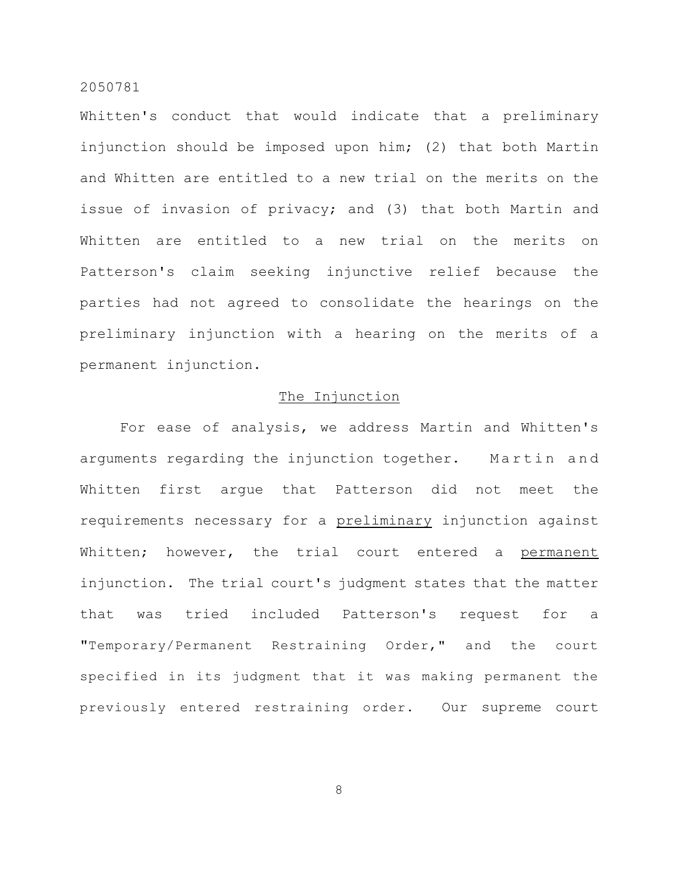Whitten's conduct that would indicate that a preliminary injunction should be imposed upon him; (2) that both Martin and Whitten are entitled to a new trial on the merits on the issue of invasion of privacy; and (3) that both Martin and Whitten are entitled to a new trial on the merits on Patterson's claim seeking injunctive relief because the parties had not agreed to consolidate the hearings on the preliminary injunction with a hearing on the merits of a permanent injunction.

# The Injunction

For ease of analysis, we address Martin and Whitten's arguments regarding the injunction together. Martin and Whitten first argue that Patterson did not meet the requirements necessary for a preliminary injunction against Whitten; however, the trial court entered a permanent injunction. The trial court's judgment states that the matter that was tried included Patterson's request for a "Temporary/Permanent Restraining Order," and the court specified in its judgment that it was making permanent the previously entered restraining order. Our supreme court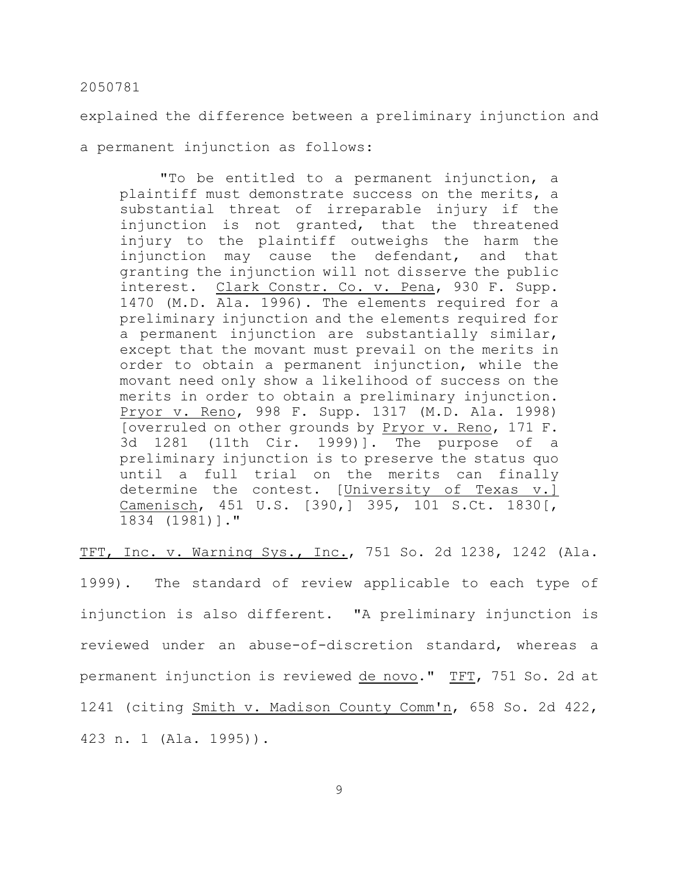explained the difference between a preliminary injunction and

a permanent injunction as follows:

"To be entitled to a permanent injunction, a plaintiff must demonstrate success on the merits, a substantial threat of irreparable injury if the injunction is not granted, that the threatened injury to the plaintiff outweighs the harm the injunction may cause the defendant, and that granting the injunction will not disserve the public interest. Clark Constr. Co. v. Pena, 930 F. Supp. 1470 (M.D. Ala. 1996). The elements required for a preliminary injunction and the elements required for a permanent injunction are substantially similar, except that the movant must prevail on the merits in order to obtain a permanent injunction, while the movant need only show a likelihood of success on the merits in order to obtain a preliminary injunction. Pryor v. Reno, 998 F. Supp. 1317 (M.D. Ala. 1998) [overruled on other grounds by Pryor v. Reno, 171 F. 3d 1281 (11th Cir. 1999)]. The purpose of a preliminary injunction is to preserve the status quo until a full trial on the merits can finally determine the contest. [University of Texas v.] Camenisch, 451 U.S. [390,] 395, 101 S.Ct. 1830[, 1834 (1981)]."

TFT, Inc. v. Warning Sys., Inc., 751 So. 2d 1238, 1242 (Ala.

1999). The standard of review applicable to each type of injunction is also different. "A preliminary injunction is reviewed under an abuse-of-discretion standard, whereas a permanent injunction is reviewed de novo." TFT, 751 So. 2d at 1241 (citing Smith v. Madison County Comm'n, 658 So. 2d 422, 423 n. 1 (Ala. 1995)).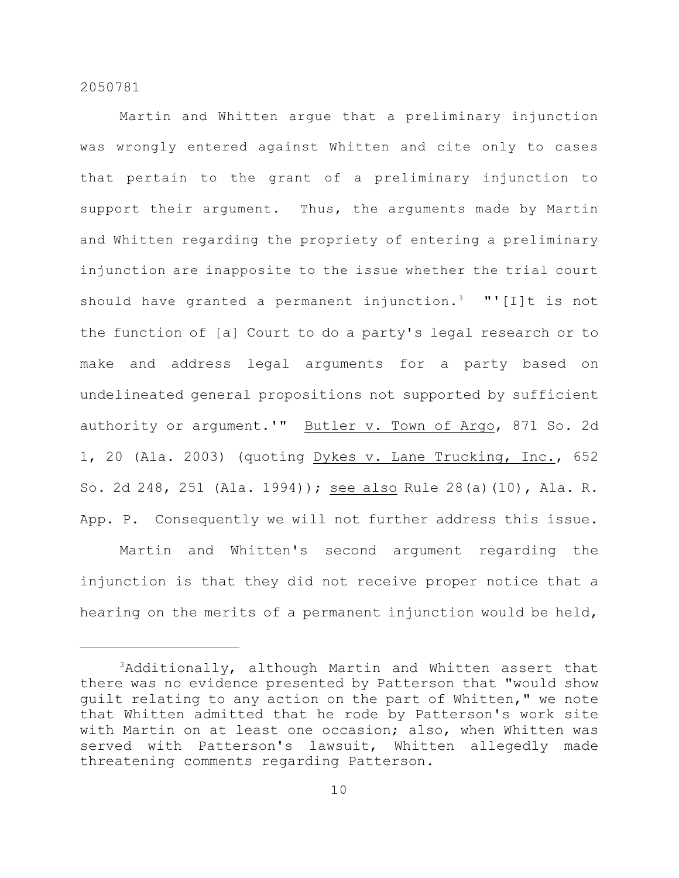Martin and Whitten argue that a preliminary injunction was wrongly entered against Whitten and cite only to cases that pertain to the grant of a preliminary injunction to support their argument. Thus, the arguments made by Martin and Whitten regarding the propriety of entering a preliminary injunction are inapposite to the issue whether the trial court should have granted a permanent injunction.<sup>3</sup> "'[I]t is not the function of [a] Court to do a party's legal research or to make and address legal arguments for a party based on undelineated general propositions not supported by sufficient authority or argument.'" Butler v. Town of Argo, 871 So. 2d 1, 20 (Ala. 2003) (quoting Dykes v. Lane Trucking, Inc., 652 So. 2d 248, 251 (Ala. 1994)); see also Rule 28(a)(10), Ala. R. App. P. Consequently we will not further address this issue.

Martin and Whitten's second argument regarding the injunction is that they did not receive proper notice that a hearing on the merits of a permanent injunction would be held,

 $3$ Additionally, although Martin and Whitten assert that there was no evidence presented by Patterson that "would show guilt relating to any action on the part of Whitten," we note that Whitten admitted that he rode by Patterson's work site with Martin on at least one occasion; also, when Whitten was served with Patterson's lawsuit, Whitten allegedly made threatening comments regarding Patterson.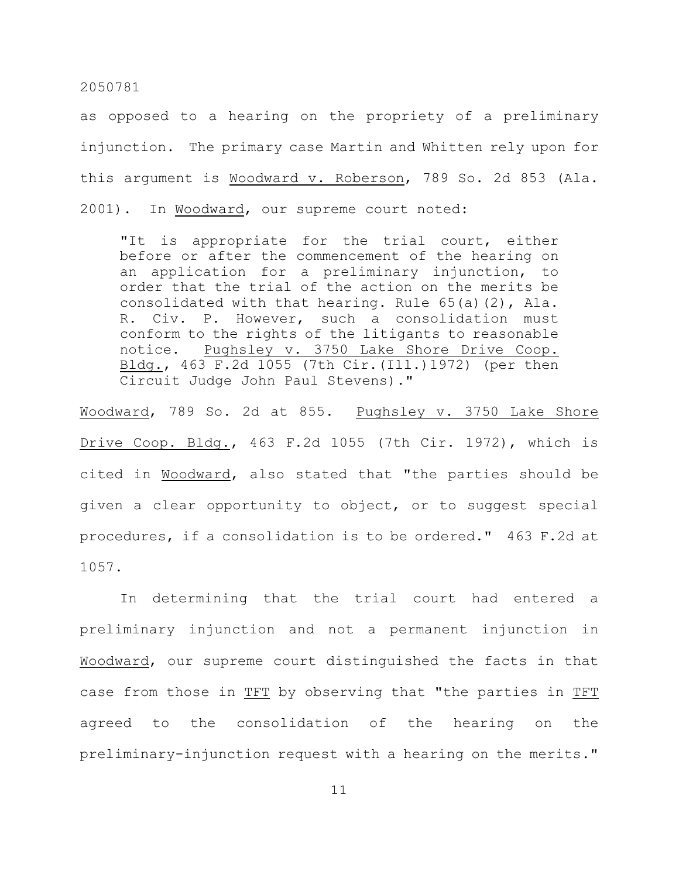as opposed to a hearing on the propriety of a preliminary injunction. The primary case Martin and Whitten rely upon for this argument is Woodward v. Roberson, 789 So. 2d 853 (Ala. 2001). In Woodward, our supreme court noted:

"It is appropriate for the trial court, either before or after the commencement of the hearing on an application for a preliminary injunction, to order that the trial of the action on the merits be consolidated with that hearing. Rule 65(a)(2), Ala. R. Civ. P. However, such a consolidation must conform to the rights of the litigants to reasonable notice. Pughsley v. 3750 Lake Shore Drive Coop. Bldg., 463 F.2d 1055 (7th Cir.(Ill.)1972) (per then Circuit Judge John Paul Stevens)."

Woodward, 789 So. 2d at 855. Pughsley v. 3750 Lake Shore Drive Coop. Bldg., 463 F.2d 1055 (7th Cir. 1972), which is cited in Woodward, also stated that "the parties should be given a clear opportunity to object, or to suggest special procedures, if a consolidation is to be ordered." 463 F.2d at 1057.

In determining that the trial court had entered a preliminary injunction and not a permanent injunction in Woodward, our supreme court distinguished the facts in that case from those in TFT by observing that "the parties in TFT agreed to the consolidation of the hearing on the preliminary-injunction request with a hearing on the merits."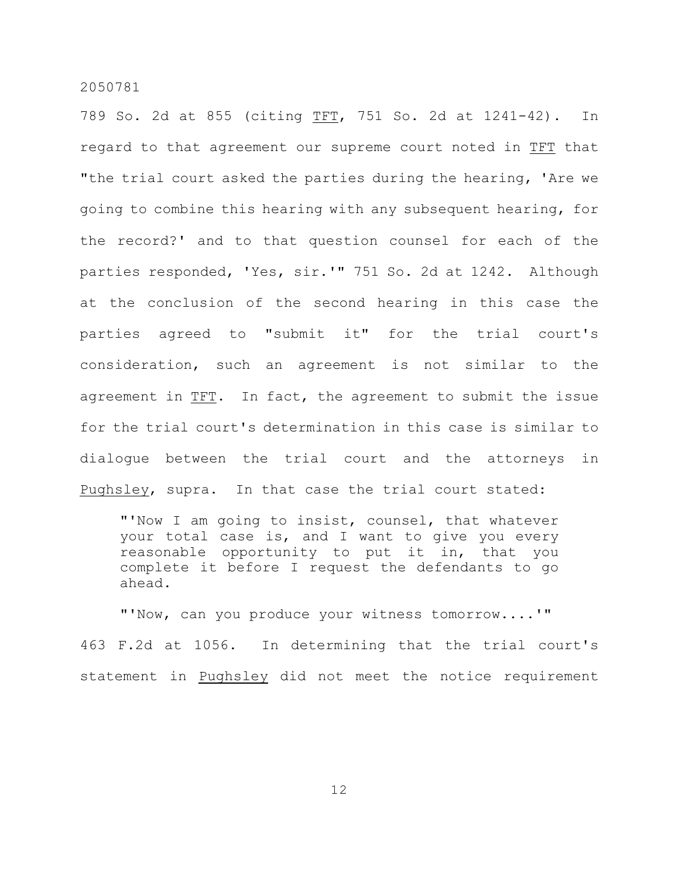789 So. 2d at 855 (citing TFT, 751 So. 2d at 1241-42). In regard to that agreement our supreme court noted in TFT that "the trial court asked the parties during the hearing, 'Are we going to combine this hearing with any subsequent hearing, for the record?' and to that question counsel for each of the parties responded, 'Yes, sir.'" 751 So. 2d at 1242. Although at the conclusion of the second hearing in this case the parties agreed to "submit it" for the trial court's consideration, such an agreement is not similar to the agreement in TFT. In fact, the agreement to submit the issue for the trial court's determination in this case is similar to dialogue between the trial court and the attorneys in Pughsley, supra. In that case the trial court stated:

"'Now I am going to insist, counsel, that whatever your total case is, and I want to give you every reasonable opportunity to put it in, that you complete it before I request the defendants to go ahead.

"'Now, can you produce your witness tomorrow....'" 463 F.2d at 1056. In determining that the trial court's statement in Pughsley did not meet the notice requirement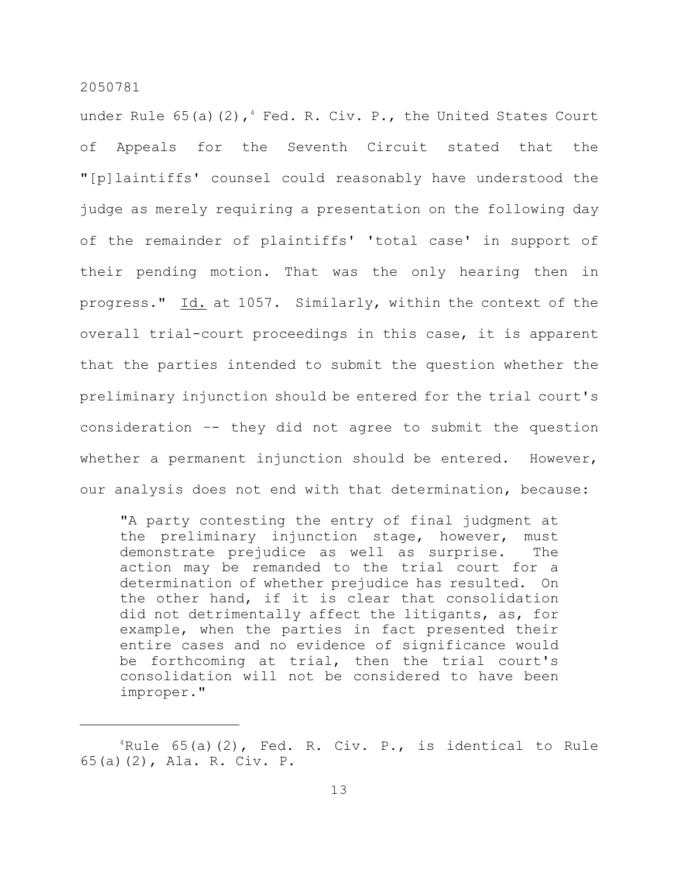under Rule  $65$ (a)(2), $4$  Fed. R. Civ. P., the United States Court of Appeals for the Seventh Circuit stated that the "[p]laintiffs' counsel could reasonably have understood the judge as merely requiring a presentation on the following day of the remainder of plaintiffs' 'total case' in support of their pending motion. That was the only hearing then in progress." Id. at 1057. Similarly, within the context of the overall trial-court proceedings in this case, it is apparent that the parties intended to submit the question whether the preliminary injunction should be entered for the trial court's consideration –- they did not agree to submit the question whether a permanent injunction should be entered. However, our analysis does not end with that determination, because:

"A party contesting the entry of final judgment at the preliminary injunction stage, however, must demonstrate prejudice as well as surprise. The action may be remanded to the trial court for a determination of whether prejudice has resulted. On the other hand, if it is clear that consolidation did not detrimentally affect the litigants, as, for example, when the parties in fact presented their entire cases and no evidence of significance would be forthcoming at trial, then the trial court's consolidation will not be considered to have been improper."

 ${}^{4}$ Rule 65(a)(2), Fed. R. Civ. P., is identical to Rule 65(a)(2), Ala. R. Civ. P.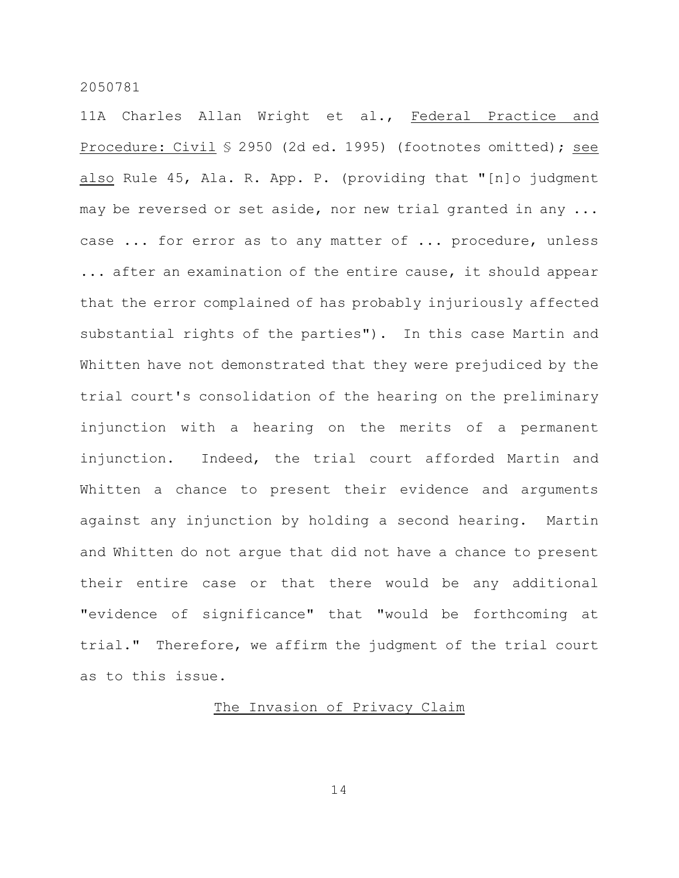11A Charles Allan Wright et al., Federal Practice and Procedure: Civil § 2950 (2d ed. 1995) (footnotes omitted); see also Rule 45, Ala. R. App. P. (providing that "[n]o judgment may be reversed or set aside, nor new trial granted in any ... case ... for error as to any matter of ... procedure, unless ... after an examination of the entire cause, it should appear that the error complained of has probably injuriously affected substantial rights of the parties"). In this case Martin and Whitten have not demonstrated that they were prejudiced by the trial court's consolidation of the hearing on the preliminary injunction with a hearing on the merits of a permanent injunction. Indeed, the trial court afforded Martin and Whitten a chance to present their evidence and arguments against any injunction by holding a second hearing. Martin and Whitten do not argue that did not have a chance to present their entire case or that there would be any additional "evidence of significance" that "would be forthcoming at trial." Therefore, we affirm the judgment of the trial court as to this issue.

# The Invasion of Privacy Claim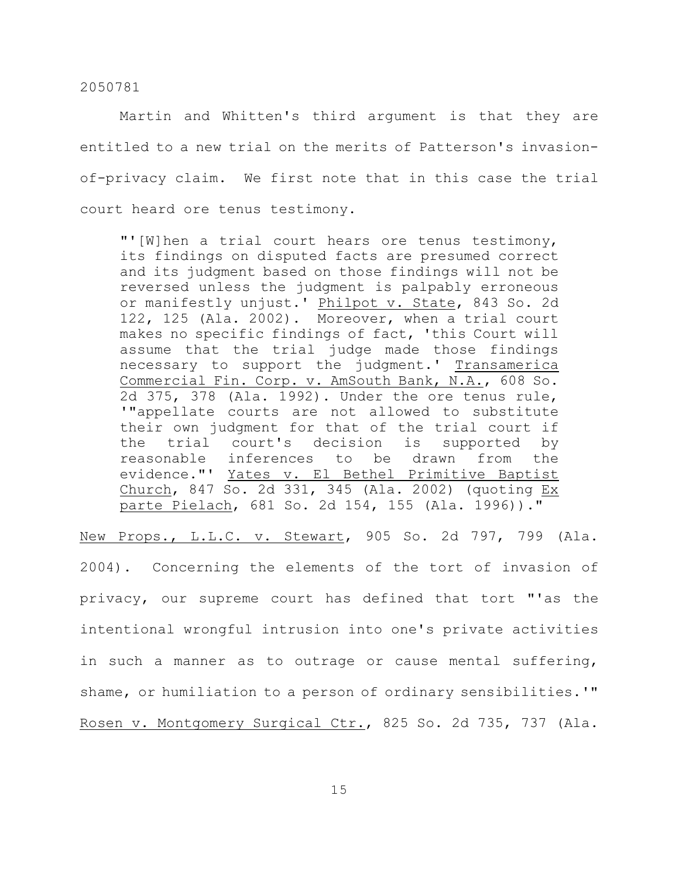Martin and Whitten's third argument is that they are entitled to a new trial on the merits of Patterson's invasionof-privacy claim. We first note that in this case the trial court heard ore tenus testimony.

"'[W]hen a trial court hears ore tenus testimony, its findings on disputed facts are presumed correct and its judgment based on those findings will not be reversed unless the judgment is palpably erroneous or manifestly unjust.' Philpot v. State, 843 So. 2d 122, 125 (Ala. 2002). Moreover, when a trial court makes no specific findings of fact, 'this Court will assume that the trial judge made those findings necessary to support the judgment.' Transamerica Commercial Fin. Corp. v. AmSouth Bank, N.A., 608 So. 2d 375, 378 (Ala. 1992). Under the ore tenus rule, '"appellate courts are not allowed to substitute their own judgment for that of the trial court if the trial court's decision is supported by reasonable inferences to be drawn from the evidence."' Yates v. El Bethel Primitive Baptist Church, 847 So. 2d 331, 345 (Ala. 2002) (quoting Ex parte Pielach, 681 So. 2d 154, 155 (Ala. 1996))."

New Props., L.L.C. v. Stewart, 905 So. 2d 797, 799 (Ala.

2004). Concerning the elements of the tort of invasion of privacy, our supreme court has defined that tort "'as the intentional wrongful intrusion into one's private activities in such a manner as to outrage or cause mental suffering, shame, or humiliation to a person of ordinary sensibilities.'" Rosen v. Montgomery Surgical Ctr., 825 So. 2d 735, 737 (Ala.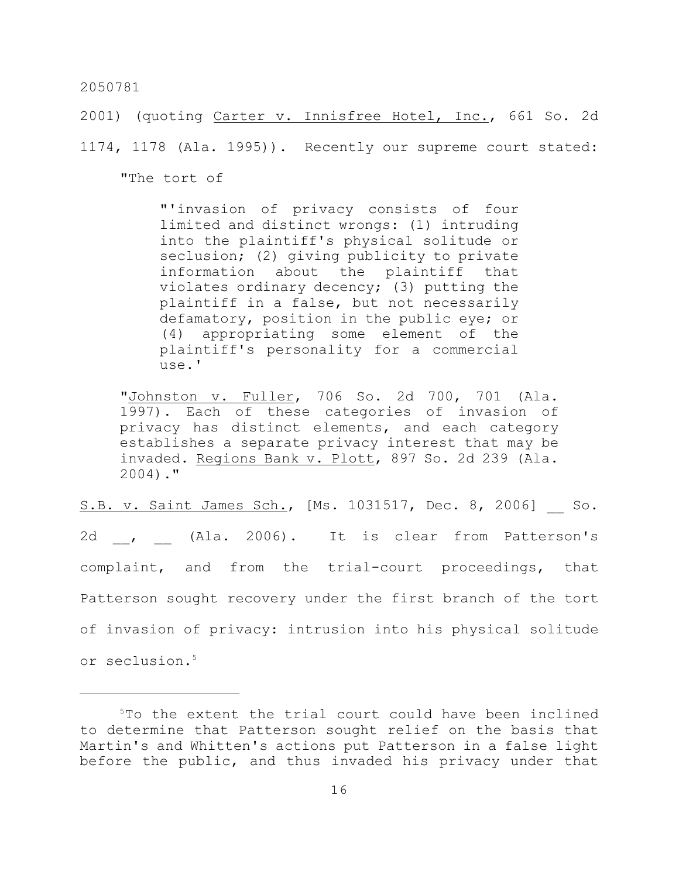2001) (quoting Carter v. Innisfree Hotel, Inc., 661 So. 2d

1174, 1178 (Ala. 1995)). Recently our supreme court stated:

"The tort of

"'invasion of privacy consists of four limited and distinct wrongs: (1) intruding into the plaintiff's physical solitude or seclusion; (2) giving publicity to private information about the plaintiff that violates ordinary decency; (3) putting the plaintiff in a false, but not necessarily defamatory, position in the public eye; or (4) appropriating some element of the plaintiff's personality for a commercial use.'

"Johnston v. Fuller, 706 So. 2d 700, 701 (Ala. 1997). Each of these categories of invasion of privacy has distinct elements, and each category establishes a separate privacy interest that may be invaded. Regions Bank v. Plott, 897 So. 2d 239 (Ala. 2004)."

S.B. v. Saint James Sch., [Ms. 1031517, Dec. 8, 2006] So. 2d , (Ala. 2006). It is clear from Patterson's complaint, and from the trial-court proceedings, that Patterson sought recovery under the first branch of the tort of invasion of privacy: intrusion into his physical solitude or seclusion. 5

 $5T$ o the extent the trial court could have been inclined to determine that Patterson sought relief on the basis that Martin's and Whitten's actions put Patterson in a false light before the public, and thus invaded his privacy under that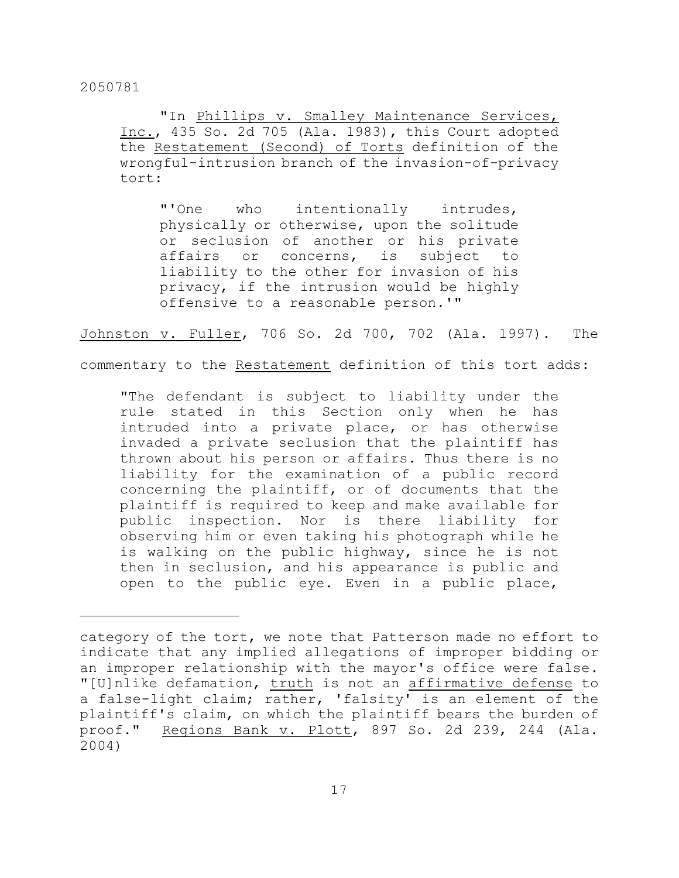"In Phillips v. Smalley Maintenance Services, Inc., 435 So. 2d 705 (Ala. 1983), this Court adopted the Restatement (Second) of Torts definition of the wrongful-intrusion branch of the invasion-of-privacy tort:

"'One who intentionally intrudes, physically or otherwise, upon the solitude or seclusion of another or his private affairs or concerns, is subject to liability to the other for invasion of his privacy, if the intrusion would be highly offensive to a reasonable person.'"

Johnston v. Fuller, 706 So. 2d 700, 702 (Ala. 1997). The

commentary to the Restatement definition of this tort adds:

"The defendant is subject to liability under the rule stated in this Section only when he has intruded into a private place, or has otherwise invaded a private seclusion that the plaintiff has thrown about his person or affairs. Thus there is no liability for the examination of a public record concerning the plaintiff, or of documents that the plaintiff is required to keep and make available for public inspection. Nor is there liability for observing him or even taking his photograph while he is walking on the public highway, since he is not then in seclusion, and his appearance is public and open to the public eye. Even in a public place,

category of the tort, we note that Patterson made no effort to indicate that any implied allegations of improper bidding or an improper relationship with the mayor's office were false. "[U]nlike defamation, truth is not an affirmative defense to a false-light claim; rather, 'falsity' is an element of the plaintiff's claim, on which the plaintiff bears the burden of proof." Regions Bank v. Plott, 897 So. 2d 239, 244 (Ala. 2004)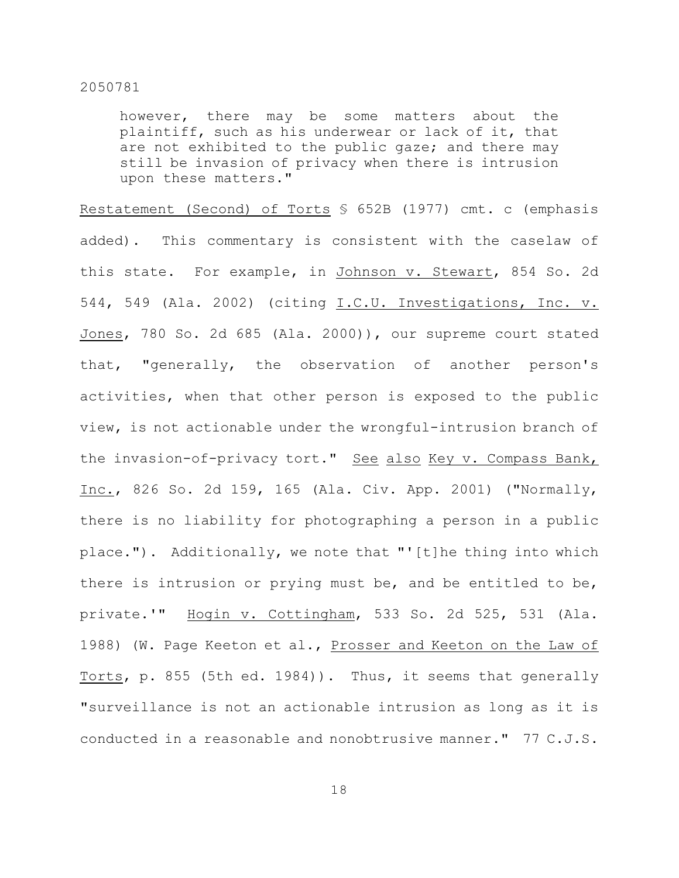however, there may be some matters about the plaintiff, such as his underwear or lack of it, that are not exhibited to the public gaze; and there may still be invasion of privacy when there is intrusion upon these matters."

Restatement (Second) of Torts § 652B (1977) cmt. c (emphasis added). This commentary is consistent with the caselaw of this state. For example, in Johnson v. Stewart, 854 So. 2d 544, 549 (Ala. 2002) (citing I.C.U. Investigations, Inc. v. Jones, 780 So. 2d 685 (Ala. 2000)), our supreme court stated that, "generally, the observation of another person's activities, when that other person is exposed to the public view, is not actionable under the wrongful-intrusion branch of the invasion-of-privacy tort." See also Key v. Compass Bank, Inc., 826 So. 2d 159, 165 (Ala. Civ. App. 2001) ("Normally, there is no liability for photographing a person in a public place."). Additionally, we note that "'[t]he thing into which there is intrusion or prying must be, and be entitled to be, private.'" Hogin v. Cottingham, 533 So. 2d 525, 531 (Ala. 1988) (W. Page Keeton et al., Prosser and Keeton on the Law of Torts, p. 855 (5th ed. 1984)). Thus, it seems that generally "surveillance is not an actionable intrusion as long as it is conducted in a reasonable and nonobtrusive manner." 77 C.J.S.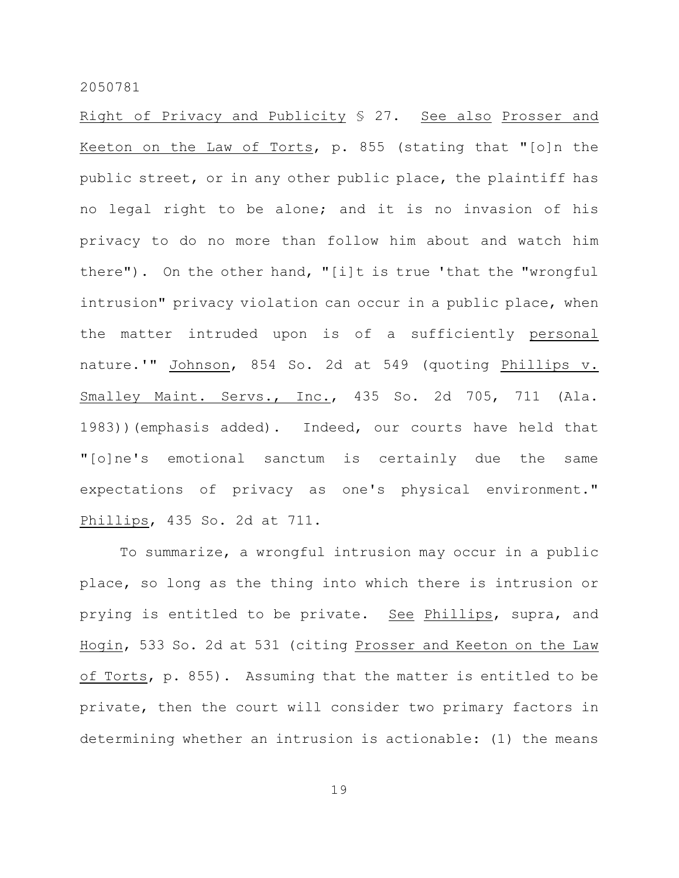Right of Privacy and Publicity § 27. See also Prosser and Keeton on the Law of Torts, p. 855 (stating that "[o]n the public street, or in any other public place, the plaintiff has no legal right to be alone; and it is no invasion of his privacy to do no more than follow him about and watch him there"). On the other hand, "[i]t is true 'that the "wrongful intrusion" privacy violation can occur in a public place, when the matter intruded upon is of a sufficiently personal nature.'" Johnson, 854 So. 2d at 549 (quoting Phillips v. Smalley Maint. Servs., Inc., 435 So. 2d 705, 711 (Ala. 1983))(emphasis added). Indeed, our courts have held that "[o]ne's emotional sanctum is certainly due the same expectations of privacy as one's physical environment." Phillips, 435 So. 2d at 711.

To summarize, a wrongful intrusion may occur in a public place, so long as the thing into which there is intrusion or prying is entitled to be private. See Phillips, supra, and Hogin, 533 So. 2d at 531 (citing Prosser and Keeton on the Law of Torts, p. 855). Assuming that the matter is entitled to be private, then the court will consider two primary factors in determining whether an intrusion is actionable: (1) the means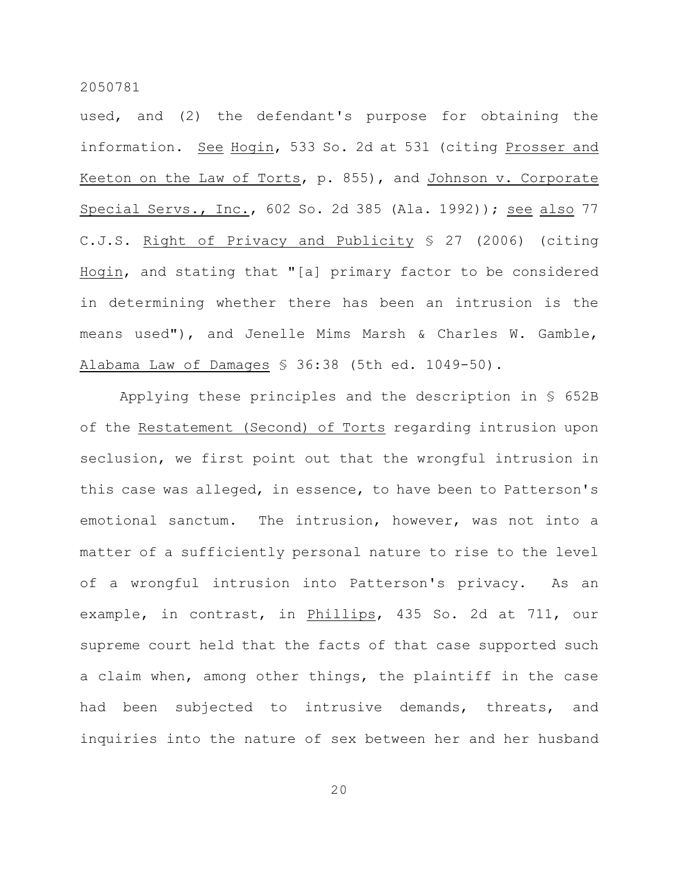used, and (2) the defendant's purpose for obtaining the information. See Hogin, 533 So. 2d at 531 (citing Prosser and Keeton on the Law of Torts, p. 855), and Johnson v. Corporate Special Servs., Inc., 602 So. 2d 385 (Ala. 1992)); see also 77 C.J.S. Right of Privacy and Publicity § 27 (2006) (citing Hogin, and stating that "[a] primary factor to be considered in determining whether there has been an intrusion is the means used"), and Jenelle Mims Marsh & Charles W. Gamble, Alabama Law of Damages § 36:38 (5th ed. 1049-50).

Applying these principles and the description in § 652B of the Restatement (Second) of Torts regarding intrusion upon seclusion, we first point out that the wrongful intrusion in this case was alleged, in essence, to have been to Patterson's emotional sanctum. The intrusion, however, was not into a matter of a sufficiently personal nature to rise to the level of a wrongful intrusion into Patterson's privacy. As an example, in contrast, in Phillips, 435 So. 2d at 711, our supreme court held that the facts of that case supported such a claim when, among other things, the plaintiff in the case had been subjected to intrusive demands, threats, and inquiries into the nature of sex between her and her husband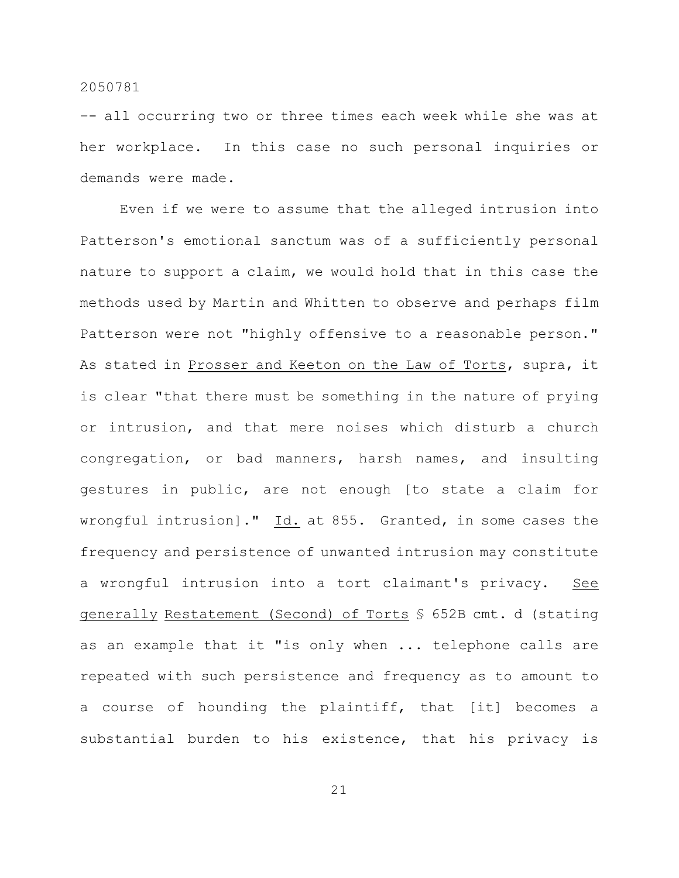–- all occurring two or three times each week while she was at her workplace. In this case no such personal inquiries or demands were made.

Even if we were to assume that the alleged intrusion into Patterson's emotional sanctum was of a sufficiently personal nature to support a claim, we would hold that in this case the methods used by Martin and Whitten to observe and perhaps film Patterson were not "highly offensive to a reasonable person." As stated in Prosser and Keeton on the Law of Torts, supra, it is clear "that there must be something in the nature of prying or intrusion, and that mere noises which disturb a church congregation, or bad manners, harsh names, and insulting gestures in public, are not enough [to state a claim for wrongful intrusion]."  $\underline{Id.}$  at 855. Granted, in some cases the frequency and persistence of unwanted intrusion may constitute a wrongful intrusion into a tort claimant's privacy. See generally Restatement (Second) of Torts § 652B cmt. d (stating as an example that it "is only when ... telephone calls are repeated with such persistence and frequency as to amount to a course of hounding the plaintiff, that [it] becomes a substantial burden to his existence, that his privacy is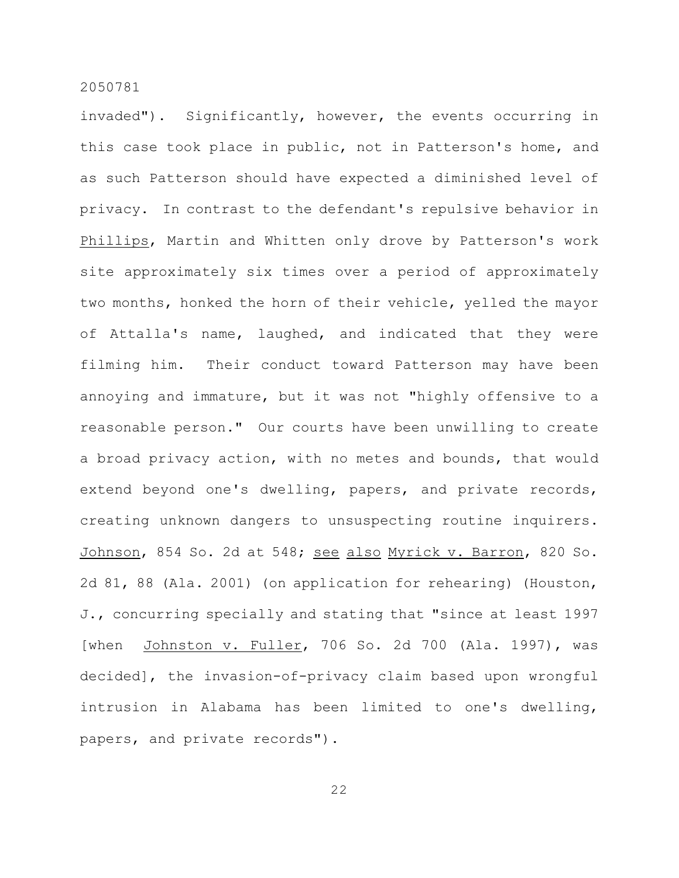invaded"). Significantly, however, the events occurring in this case took place in public, not in Patterson's home, and as such Patterson should have expected a diminished level of privacy. In contrast to the defendant's repulsive behavior in Phillips, Martin and Whitten only drove by Patterson's work site approximately six times over a period of approximately two months, honked the horn of their vehicle, yelled the mayor of Attalla's name, laughed, and indicated that they were filming him. Their conduct toward Patterson may have been annoying and immature, but it was not "highly offensive to a reasonable person." Our courts have been unwilling to create a broad privacy action, with no metes and bounds, that would extend beyond one's dwelling, papers, and private records, creating unknown dangers to unsuspecting routine inquirers. Johnson, 854 So. 2d at 548; see also Myrick v. Barron, 820 So. 2d 81, 88 (Ala. 2001) (on application for rehearing) (Houston, J., concurring specially and stating that "since at least 1997 [when Johnston v. Fuller, 706 So. 2d 700 (Ala. 1997), was decided], the invasion-of-privacy claim based upon wrongful intrusion in Alabama has been limited to one's dwelling, papers, and private records").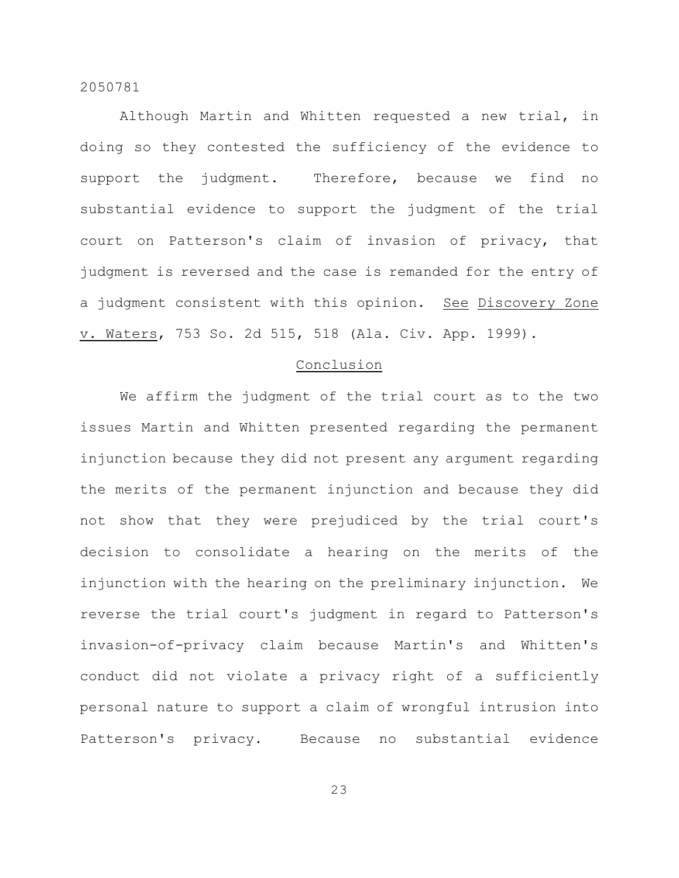Although Martin and Whitten requested a new trial, in doing so they contested the sufficiency of the evidence to support the judgment. Therefore, because we find no substantial evidence to support the judgment of the trial court on Patterson's claim of invasion of privacy, that judgment is reversed and the case is remanded for the entry of a judgment consistent with this opinion. See Discovery Zone v. Waters, 753 So. 2d 515, 518 (Ala. Civ. App. 1999).

#### Conclusion

We affirm the judgment of the trial court as to the two issues Martin and Whitten presented regarding the permanent injunction because they did not present any argument regarding the merits of the permanent injunction and because they did not show that they were prejudiced by the trial court's decision to consolidate a hearing on the merits of the injunction with the hearing on the preliminary injunction. We reverse the trial court's judgment in regard to Patterson's invasion-of-privacy claim because Martin's and Whitten's conduct did not violate a privacy right of a sufficiently personal nature to support a claim of wrongful intrusion into Patterson's privacy. Because no substantial evidence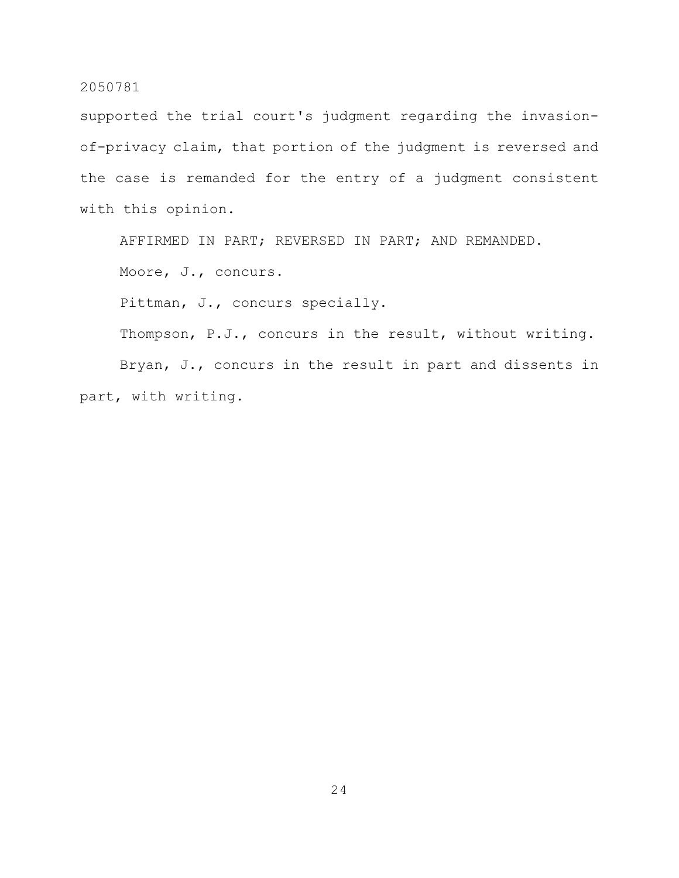supported the trial court's judgment regarding the invasionof-privacy claim, that portion of the judgment is reversed and the case is remanded for the entry of a judgment consistent with this opinion.

AFFIRMED IN PART; REVERSED IN PART; AND REMANDED.

Moore, J., concurs.

Pittman, J., concurs specially.

Thompson, P.J., concurs in the result, without writing.

Bryan, J., concurs in the result in part and dissents in part, with writing.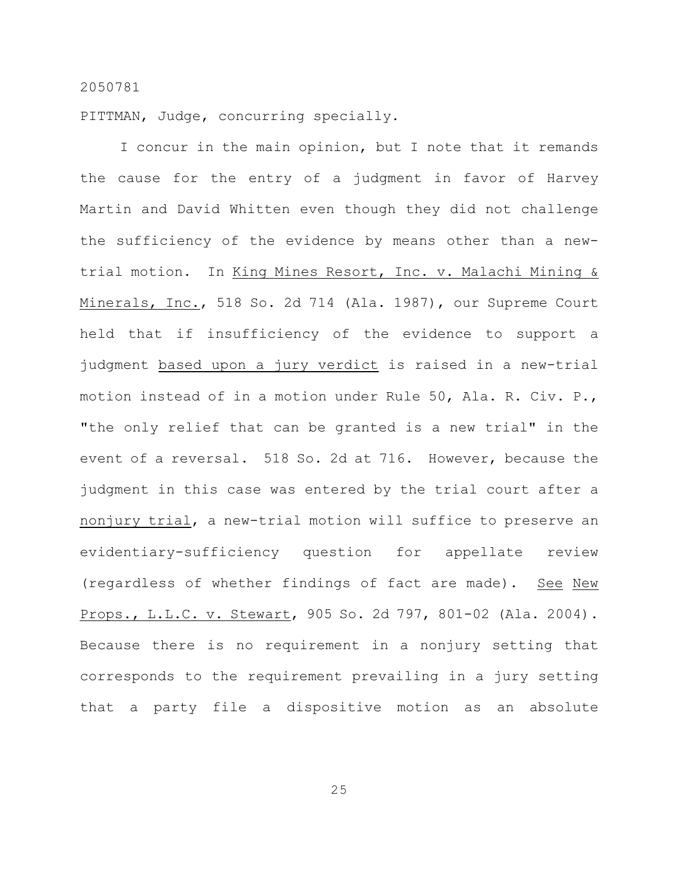PITTMAN, Judge, concurring specially.

I concur in the main opinion, but I note that it remands the cause for the entry of a judgment in favor of Harvey Martin and David Whitten even though they did not challenge the sufficiency of the evidence by means other than a newtrial motion. In King Mines Resort, Inc. v. Malachi Mining & Minerals, Inc., 518 So. 2d 714 (Ala. 1987), our Supreme Court held that if insufficiency of the evidence to support a judgment based upon a jury verdict is raised in a new-trial motion instead of in a motion under Rule 50, Ala. R. Civ. P., "the only relief that can be granted is a new trial" in the event of a reversal. 518 So. 2d at 716. However, because the judgment in this case was entered by the trial court after a nonjury trial, a new-trial motion will suffice to preserve an evidentiary-sufficiency question for appellate review (regardless of whether findings of fact are made). See New Props., L.L.C. v. Stewart, 905 So. 2d 797, 801-02 (Ala. 2004). Because there is no requirement in a nonjury setting that corresponds to the requirement prevailing in a jury setting that a party file a dispositive motion as an absolute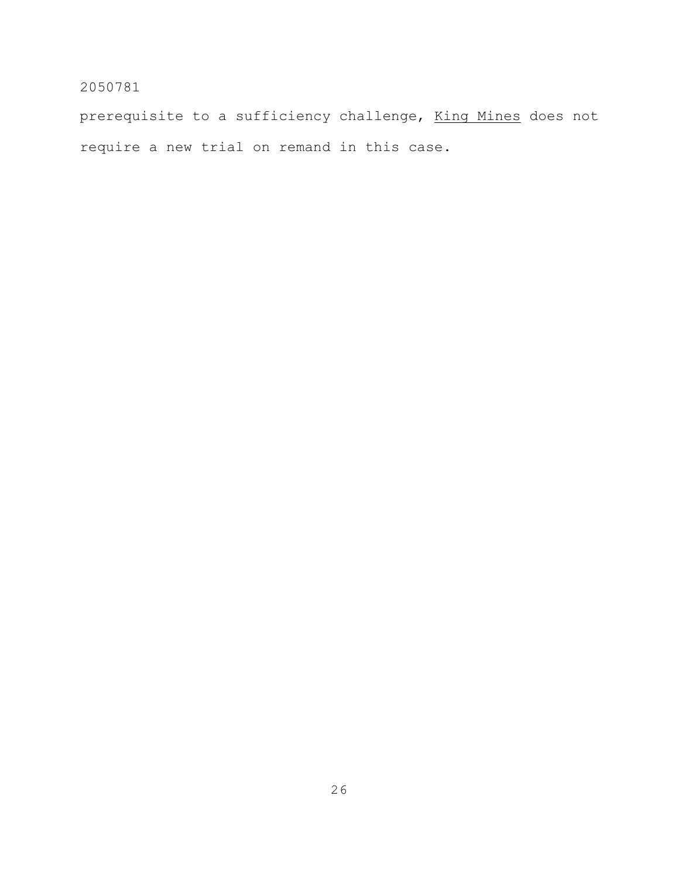prerequisite to a sufficiency challenge, King Mines does not require a new trial on remand in this case.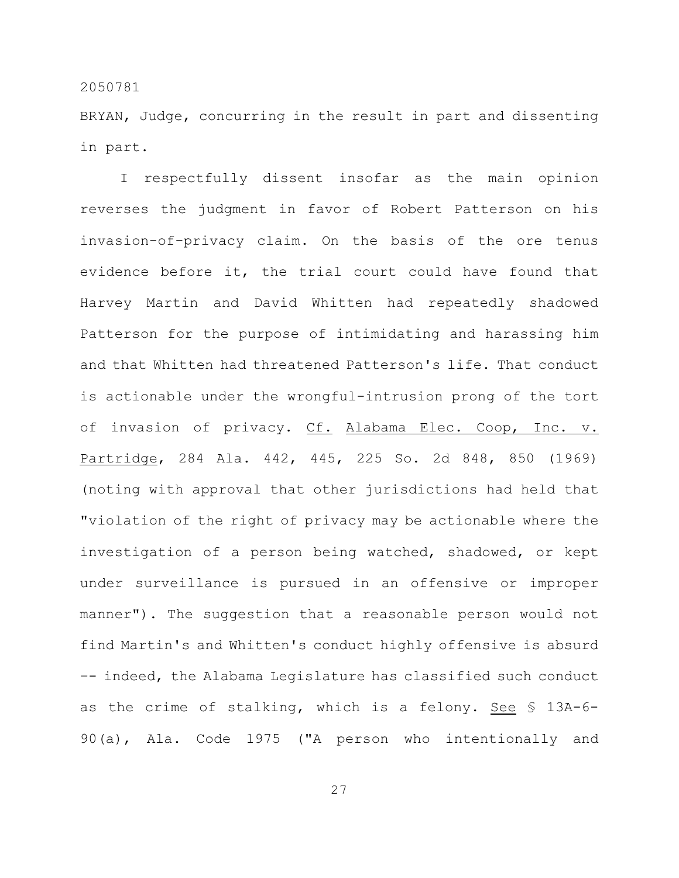BRYAN, Judge, concurring in the result in part and dissenting in part.

I respectfully dissent insofar as the main opinion reverses the judgment in favor of Robert Patterson on his invasion-of-privacy claim. On the basis of the ore tenus evidence before it, the trial court could have found that Harvey Martin and David Whitten had repeatedly shadowed Patterson for the purpose of intimidating and harassing him and that Whitten had threatened Patterson's life. That conduct is actionable under the wrongful-intrusion prong of the tort of invasion of privacy. Cf. Alabama Elec. Coop, Inc. v. Partridge, 284 Ala. 442, 445, 225 So. 2d 848, 850 (1969) (noting with approval that other jurisdictions had held that "violation of the right of privacy may be actionable where the investigation of a person being watched, shadowed, or kept under surveillance is pursued in an offensive or improper manner"). The suggestion that a reasonable person would not find Martin's and Whitten's conduct highly offensive is absurd –- indeed, the Alabama Legislature has classified such conduct as the crime of stalking, which is a felony. See § 13A-6- 90(a), Ala. Code 1975 ("A person who intentionally and